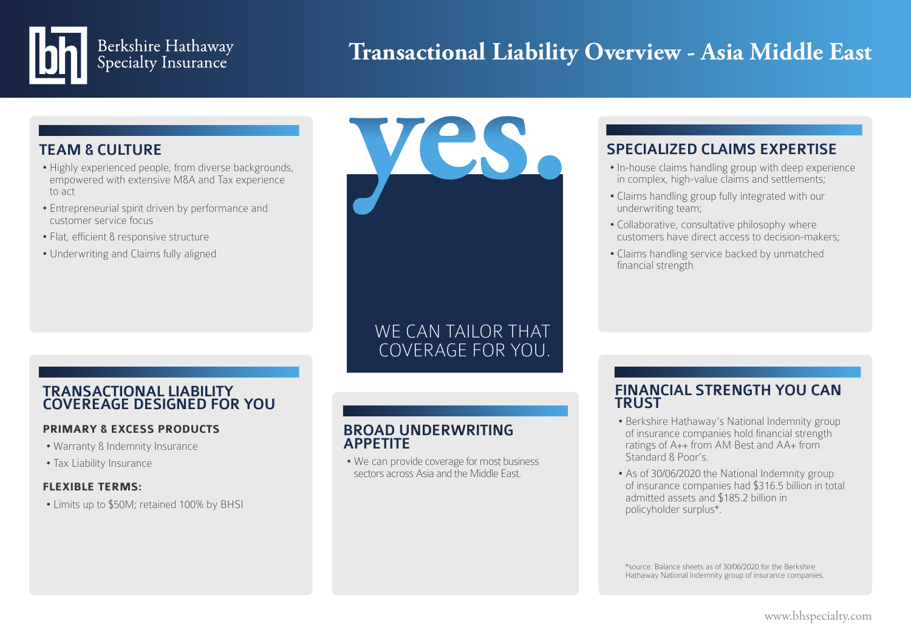# Berkshire Hathaway<br>Specialty Insurance

# **Transactional Liability Overview - Asia Middle East**

#### TEAM & CULTURE

- Highly experienced people, from diverse backgrounds, empowered with extensive M&A and Tax experience to act
- Entrepreneurial spirit driven by performance and customer service focus
- Flat, efficient & responsive structure
- Underwriting and Claims fully aligned

## COVERAGE FOR YOU. COVERAGE FOR YOU. WE CAN TAILOR THAT

**yes.**

#### TRANSACTIONAL LIABILITY COVEREAGE DESIGNED FOR YOU

#### **PRIMARY & EXCESS PRODUCTS**

- Warranty & Indemnity Insurance
- Tax Liability Insurance

#### **FLEXIBLE TERMS:**

• Limits up to \$50M; retained 100% by BHSI

#### BROAD UNDERWRITING APPETITE

• We can provide coverage for most business sectors across Asia and the Middle East.

### SPECIALIZED CLAIMS EXPERTISE

- In-house claims handling group with deep experience in complex, high-value claims and settlements;
- Claims handling group fully integrated with our underwriting team;
- Collaborative, consultative philosophy where customers have direct access to decision-makers;
- Claims handling service backed by unmatched financial strength

#### FINANCIAL STRENGTH YOU CAN **TRUST**

- Berkshire Hathaway's National Indemnity group of insurance companies hold financial strength ratings of A++ from AM Best and AA+ from Standard & Poor's.
- As of 30/06/2020 the National Indemnity group of insurance companies had \$316.5 billion in total admitted assets and \$185.2 billion in policyholder surplus\*.

\*source: Balance sheets as of 30/06/2020 for the Berkshire Hathaway National Indemnity group of insurance companies.